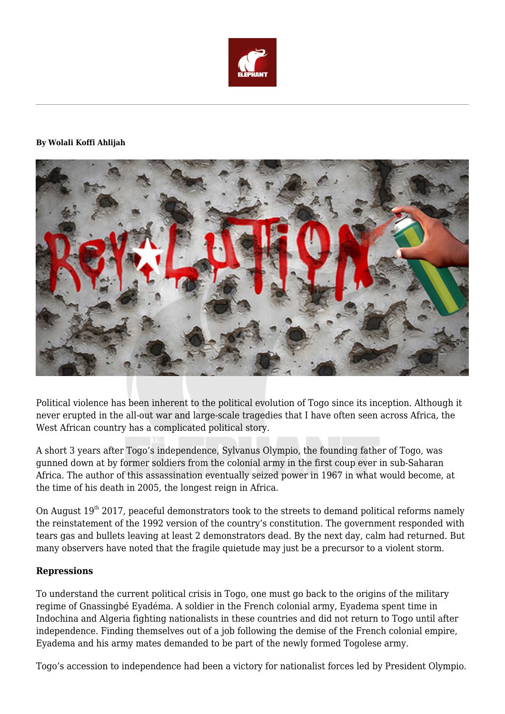

#### **By Wolali Koffi Ahlijah**



Political violence has been inherent to the political evolution of Togo since its inception. Although it never erupted in the all-out war and large-scale tragedies that I have often seen across Africa, the West African country has a complicated political story.

A short 3 years after Togo's independence, Sylvanus Olympio, the founding father of Togo, was gunned down at by former soldiers from the colonial army in the first coup ever in sub-Saharan Africa. The author of this assassination eventually seized power in 1967 in what would become, at the time of his death in 2005, the longest reign in Africa.

On August  $19<sup>th</sup>$  2017, peaceful demonstrators took to the streets to demand political reforms namely the reinstatement of the 1992 version of the country's constitution. The government responded with tears gas and bullets leaving at least 2 demonstrators dead. By the next day, calm had returned. But many observers have noted that the fragile quietude may just be a precursor to a violent storm.

#### **Repressions**

To understand the current political crisis in Togo, one must go back to the origins of the military regime of Gnassingbé Eyadéma. A soldier in the French colonial army, Eyadema spent time in Indochina and Algeria fighting nationalists in these countries and did not return to Togo until after independence. Finding themselves out of a job following the demise of the French colonial empire, Eyadema and his army mates demanded to be part of the newly formed Togolese army.

Togo's accession to independence had been a victory for nationalist forces led by President Olympio.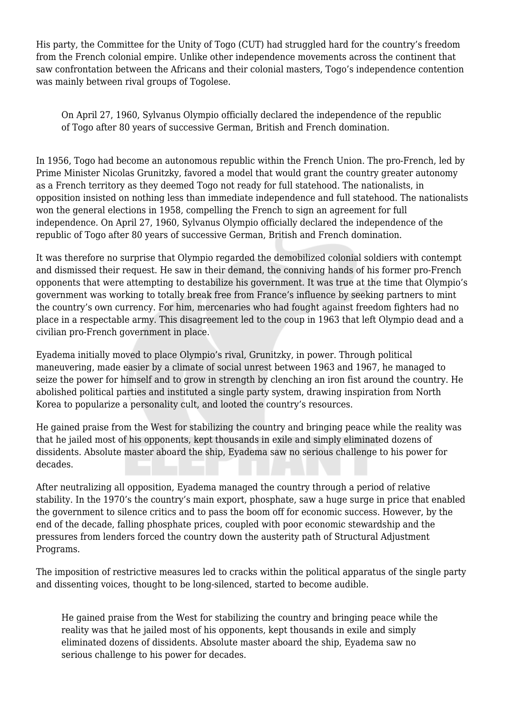His party, the Committee for the Unity of Togo (CUT) had struggled hard for the country's freedom from the French colonial empire. Unlike other independence movements across the continent that saw confrontation between the Africans and their colonial masters, Togo's independence contention was mainly between rival groups of Togolese.

On April 27, 1960, Sylvanus Olympio officially declared the independence of the republic of Togo after 80 years of successive German, British and French domination.

In 1956, Togo had become an autonomous republic within the French Union. The pro-French, led by Prime Minister Nicolas Grunitzky, favored a model that would grant the country greater autonomy as a French territory as they deemed Togo not ready for full statehood. The nationalists, in opposition insisted on nothing less than immediate independence and full statehood. The nationalists won the general elections in 1958, compelling the French to sign an agreement for full independence. On April 27, 1960, Sylvanus Olympio officially declared the independence of the republic of Togo after 80 years of successive German, British and French domination.

It was therefore no surprise that Olympio regarded the demobilized colonial soldiers with contempt and dismissed their request. He saw in their demand, the conniving hands of his former pro-French opponents that were attempting to destabilize his government. It was true at the time that Olympio's government was working to totally break free from France's influence by seeking partners to mint the country's own currency. For him, mercenaries who had fought against freedom fighters had no place in a respectable army. This disagreement led to the coup in 1963 that left Olympio dead and a civilian pro-French government in place.

Eyadema initially moved to place Olympio's rival, Grunitzky, in power. Through political maneuvering, made easier by a climate of social unrest between 1963 and 1967, he managed to seize the power for himself and to grow in strength by clenching an iron fist around the country. He abolished political parties and instituted a single party system, drawing inspiration from North Korea to popularize a personality cult, and looted the country's resources.

He gained praise from the West for stabilizing the country and bringing peace while the reality was that he jailed most of his opponents, kept thousands in exile and simply eliminated dozens of dissidents. Absolute master aboard the ship, Eyadema saw no serious challenge to his power for decades.

After neutralizing all opposition, Eyadema managed the country through a period of relative stability. In the 1970's the country's main export, phosphate, saw a huge surge in price that enabled the government to silence critics and to pass the boom off for economic success. However, by the end of the decade, falling phosphate prices, coupled with poor economic stewardship and the pressures from lenders forced the country down the austerity path of Structural Adjustment Programs.

The imposition of restrictive measures led to cracks within the political apparatus of the single party and dissenting voices, thought to be long-silenced, started to become audible.

He gained praise from the West for stabilizing the country and bringing peace while the reality was that he jailed most of his opponents, kept thousands in exile and simply eliminated dozens of dissidents. Absolute master aboard the ship, Eyadema saw no serious challenge to his power for decades.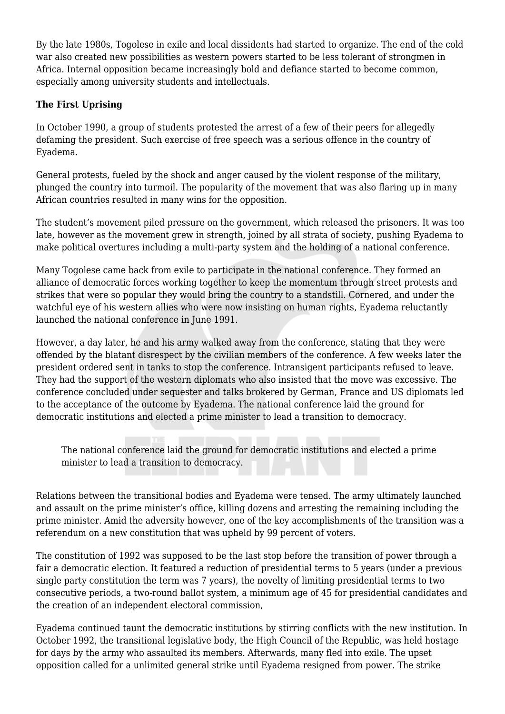By the late 1980s, Togolese in exile and local dissidents had started to organize. The end of the cold war also created new possibilities as western powers started to be less tolerant of strongmen in Africa. Internal opposition became increasingly bold and defiance started to become common, especially among university students and intellectuals.

# **The First Uprising**

In October 1990, a group of students protested the arrest of a few of their peers for allegedly defaming the president. Such exercise of free speech was a serious offence in the country of Eyadema.

General protests, fueled by the shock and anger caused by the violent response of the military, plunged the country into turmoil. The popularity of the movement that was also flaring up in many African countries resulted in many wins for the opposition.

The student's movement piled pressure on the government, which released the prisoners. It was too late, however as the movement grew in strength, joined by all strata of society, pushing Eyadema to make political overtures including a multi-party system and the holding of a national conference.

Many Togolese came back from exile to participate in the national conference. They formed an alliance of democratic forces working together to keep the momentum through street protests and strikes that were so popular they would bring the country to a standstill. Cornered, and under the watchful eye of his western allies who were now insisting on human rights, Eyadema reluctantly launched the national conference in June 1991.

However, a day later, he and his army walked away from the conference, stating that they were offended by the blatant disrespect by the civilian members of the conference. A few weeks later the president ordered sent in tanks to stop the conference. Intransigent participants refused to leave. They had the support of the western diplomats who also insisted that the move was excessive. The conference concluded under sequester and talks brokered by German, France and US diplomats led to the acceptance of the outcome by Eyadema. The national conference laid the ground for democratic institutions and elected a prime minister to lead a transition to democracy.

The national conference laid the ground for democratic institutions and elected a prime minister to lead a transition to democracy.

Relations between the transitional bodies and Eyadema were tensed. The army ultimately launched and assault on the prime minister's office, killing dozens and arresting the remaining including the prime minister. Amid the adversity however, one of the key accomplishments of the transition was a referendum on a new constitution that was upheld by 99 percent of voters.

The constitution of 1992 was supposed to be the last stop before the transition of power through a fair a democratic election. It featured a reduction of presidential terms to 5 years (under a previous single party constitution the term was 7 years), the novelty of limiting presidential terms to two consecutive periods, a two-round ballot system, a minimum age of 45 for presidential candidates and the creation of an independent electoral commission,

Eyadema continued taunt the democratic institutions by stirring conflicts with the new institution. In October 1992, the transitional legislative body, the High Council of the Republic, was held hostage for days by the army who assaulted its members. Afterwards, many fled into exile. The upset opposition called for a unlimited general strike until Eyadema resigned from power. The strike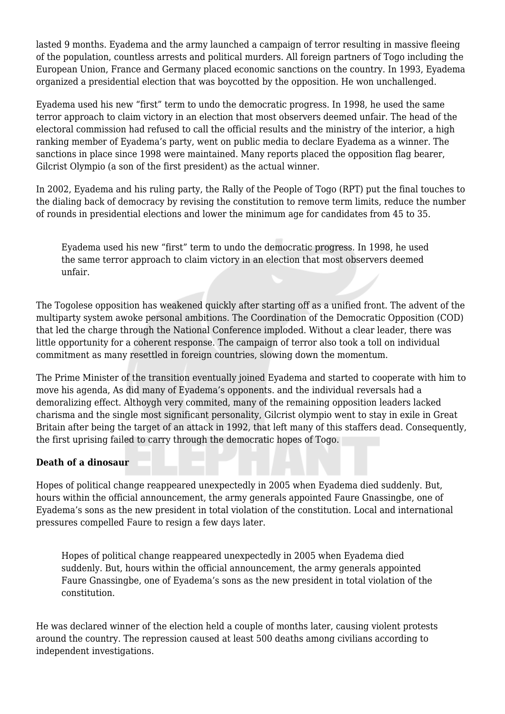lasted 9 months. Eyadema and the army launched a campaign of terror resulting in massive fleeing of the population, countless arrests and political murders. All foreign partners of Togo including the European Union, France and Germany placed economic sanctions on the country. In 1993, Eyadema organized a presidential election that was boycotted by the opposition. He won unchallenged.

Eyadema used his new "first" term to undo the democratic progress. In 1998, he used the same terror approach to claim victory in an election that most observers deemed unfair. The head of the electoral commission had refused to call the official results and the ministry of the interior, a high ranking member of Eyadema's party, went on public media to declare Eyadema as a winner. The sanctions in place since 1998 were maintained. Many reports placed the opposition flag bearer, Gilcrist Olympio (a son of the first president) as the actual winner.

In 2002, Eyadema and his ruling party, the Rally of the People of Togo (RPT) put the final touches to the dialing back of democracy by revising the constitution to remove term limits, reduce the number of rounds in presidential elections and lower the minimum age for candidates from 45 to 35.

Eyadema used his new "first" term to undo the democratic progress. In 1998, he used the same terror approach to claim victory in an election that most observers deemed unfair.

The Togolese opposition has weakened quickly after starting off as a unified front. The advent of the multiparty system awoke personal ambitions. The Coordination of the Democratic Opposition (COD) that led the charge through the National Conference imploded. Without a clear leader, there was little opportunity for a coherent response. The campaign of terror also took a toll on individual commitment as many resettled in foreign countries, slowing down the momentum.

The Prime Minister of the transition eventually joined Eyadema and started to cooperate with him to move his agenda, As did many of Eyadema's opponents. and the individual reversals had a demoralizing effect. Althoygh very commited, many of the remaining opposition leaders lacked charisma and the single most significant personality, Gilcrist olympio went to stay in exile in Great Britain after being the target of an attack in 1992, that left many of this staffers dead. Consequently, the first uprising failed to carry through the democratic hopes of Togo.

## **Death of a dinosaur**

Hopes of political change reappeared unexpectedly in 2005 when Eyadema died suddenly. But, hours within the official announcement, the army generals appointed Faure Gnassingbe, one of Eyadema's sons as the new president in total violation of the constitution. Local and international pressures compelled Faure to resign a few days later.

Hopes of political change reappeared unexpectedly in 2005 when Eyadema died suddenly. But, hours within the official announcement, the army generals appointed Faure Gnassingbe, one of Eyadema's sons as the new president in total violation of the constitution.

He was declared winner of the election held a couple of months later, causing violent protests around the country. The repression caused at least 500 deaths among civilians according to independent investigations.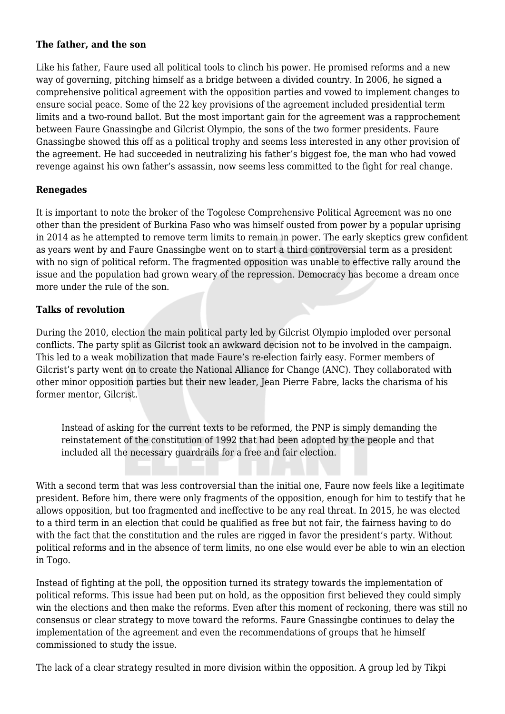### **The father, and the son**

Like his father, Faure used all political tools to clinch his power. He promised reforms and a new way of governing, pitching himself as a bridge between a divided country. In 2006, he signed a comprehensive political agreement with the opposition parties and vowed to implement changes to ensure social peace. Some of the 22 key provisions of the agreement included presidential term limits and a two-round ballot. But the most important gain for the agreement was a rapprochement between Faure Gnassingbe and Gilcrist Olympio, the sons of the two former presidents. Faure Gnassingbe showed this off as a political trophy and seems less interested in any other provision of the agreement. He had succeeded in neutralizing his father's biggest foe, the man who had vowed revenge against his own father's assassin, now seems less committed to the fight for real change.

## **Renegades**

It is important to note the broker of the Togolese Comprehensive Political Agreement was no one other than the president of Burkina Faso who was himself ousted from power by a popular uprising in 2014 as he attempted to remove term limits to remain in power. The early skeptics grew confident as years went by and Faure Gnassingbe went on to start a third controversial term as a president with no sign of political reform. The fragmented opposition was unable to effective rally around the issue and the population had grown weary of the repression. Democracy has become a dream once more under the rule of the son.

# **Talks of revolution**

During the 2010, election the main political party led by Gilcrist Olympio imploded over personal conflicts. The party split as Gilcrist took an awkward decision not to be involved in the campaign. This led to a weak mobilization that made Faure's re-election fairly easy. Former members of Gilcrist's party went on to create the National Alliance for Change (ANC). They collaborated with other minor opposition parties but their new leader, Jean Pierre Fabre, lacks the charisma of his former mentor, Gilcrist.

Instead of asking for the current texts to be reformed, the PNP is simply demanding the reinstatement of the constitution of 1992 that had been adopted by the people and that included all the necessary guardrails for a free and fair election.

With a second term that was less controversial than the initial one, Faure now feels like a legitimate president. Before him, there were only fragments of the opposition, enough for him to testify that he allows opposition, but too fragmented and ineffective to be any real threat. In 2015, he was elected to a third term in an election that could be qualified as free but not fair, the fairness having to do with the fact that the constitution and the rules are rigged in favor the president's party. Without political reforms and in the absence of term limits, no one else would ever be able to win an election in Togo.

Instead of fighting at the poll, the opposition turned its strategy towards the implementation of political reforms. This issue had been put on hold, as the opposition first believed they could simply win the elections and then make the reforms. Even after this moment of reckoning, there was still no consensus or clear strategy to move toward the reforms. Faure Gnassingbe continues to delay the implementation of the agreement and even the recommendations of groups that he himself commissioned to study the issue.

The lack of a clear strategy resulted in more division within the opposition. A group led by Tikpi